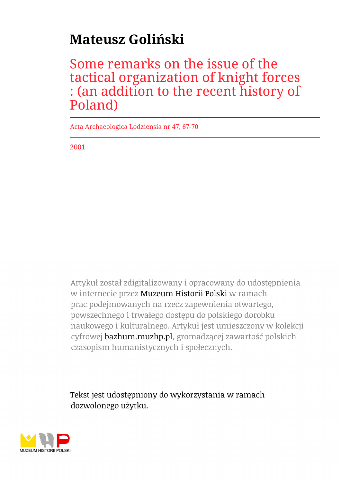# **Mateusz Goliński**

## Some remarks on the issue of the tactical organization of knight forces : (an addition to the recent history of Poland)

Acta Archaeologica Lodziensia nr 47, 67-70

2001

Artykuł został zdigitalizowany i opracowany do udostępnienia w internecie przez Muzeum Historii Polski w ramach prac podejmowanych na rzecz zapewnienia otwartego, powszechnego i trwałego dostępu do polskiego dorobku naukowego i kulturalnego. Artykuł jest umieszczony w kolekcji cyfrowej bazhum.muzhp.pl, gromadzącej zawartość polskich czasopism humanistycznych i społecznych.

Tekst jest udostępniony do wykorzystania w ramach dozwolonego użytku.

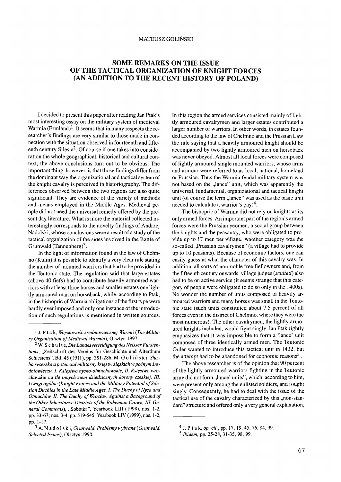#### MATEUSZ GOLIŃSKI

### **SOME REMARKS ON THE ISSUE OF THE TACTICAL ORGANIZATION OF KNIGHT FORCES (AN ADDITION TO THE RECENT HISTORY OF POLAND)**

I decided to present this paper after reading Jan Ptak's most interesting essay on the military system of medieval Warmia (Ermland)<sup>1</sup>. It seems that in many respects the researcher's findings are very similar to those made in connection with the situation observed in fourteenth and fifteenth century Silesia<sup>2</sup>. Of course if one takes into consideration the whole geographical, historical and cultural context, the above conclusions turn out to be obvious. The important thing, however, is that those findings differ from the dominant way the organizational and tactical system of the knight cavalry is perceived in historiography. The differences observed between the two regions are also quite significant. They are evidence of the variety of methods and means employed in the Middle Ages. Medieval people did not need the universal remedy offered by the present day literature. What is more the material collected interestingly corresponds to the novelty findings of Andrzej Nadolski, whose conclusions were a result of a study of the tactical organization of the sides involved in the Battle of Grunwald (Tannenberg)<sup>3</sup>.

In the light of information found in the law of Chełmno (Kulm) it is possible to identify a very clear rule stating the number of mounted warriors that had to be provided in the Teutonic state. The regulation said that large estates (above 40 fiefs) had to contribute heavily armoured warriors with at least three horses and smaller estates one lightly armoured man on horseback, while, according to Ptak, in the bishopric of Warmia obligations of the first type were hardly ever imposed and only one instance of the introduction of such regulations is mentioned in written sources. In this region the armed services consisted mainly of lightly armoured cavalrymen and larger estates contributed a larger number of warriors. In other words, in estates founded according to the law of Chełmno and the Prussian Law the rule saying that a heavily armoured knight should be accompanied by two lightly armoured men on horseback was never obeyed. Almost all local forces were composed of lightly armoured single mounted warriors, whose arms and armour were referred to as local, national, homeland or Prussian. Thus the Warmia feudal military system was not based on the "lance" unit, which was apparently the universal, fundamental, organizational and tactical knight unit (of course the term "lance" was used as the basic unit needed to calculate a warrior's pay $)^4$ .

The bishopric of Warmia did not rely on knights as its only armed forces. An important part of the region's armed forces were the Prussian yeomen, a social group between the knights and the peasantry, who were obligated to provide up to 17 men per village. Another category was the so-called "Prussian cavalrymen" (a village had to provide up to 10 peasants). Because of economic factors, one can easily guess at what the character of this cavalry was. In addition, all sorts of non-noble free fief owners and, from the fifteenth century onwards, village judges (*sculteti*) also had to be on active service (it seems strange that this category of people were obligated to do so only in the 1400s). No wonder the number of units composed of heavily armoured warriors and many horses was small in the Teutonic state (such units constituted about 7.5 percent of all forces even in the district of Chełmno, where they were the most numerous). The other cavalrymen, the lightly armoured knights included, would fight singly. Jan Ptak rightly emphasizes that it was impossible to form a 'lance' unit composed of three identically armed men. The Teutonic Order wanted to introduce this tactical unit in 1432, but the attempt had to be abandoned for economic reasons<sup>5</sup>.

The above researcher is of the opinion that 90 percent of the lightly armoured warriors fighting in the Teutonic army did not form, lance' units", which, according to him, were present only among the enlisted soldiers, and fought singly. Consequently, he had to deal with the issue of the tactical use of the cavalry characterized by this "non-standard" structure and offered only a very general explanation,

<sup>1</sup> J. P t a k, *Wojskowość średniowiecznej Warmii (The Milita*ry Organization of Medieval Warmia), Olsztyn 1997.

<sup>2</sup> W. S c h u 11 e, *Die Landesverteidigung des Neisser Fürsten*tums, "Zeitschrift des Vereins für Geschichte und Alterthum Schlesiens", Bd. 45 (1911), pp. 281-286; M. G о 1 i ń s k i, *Služba rycerska a potencjał militarny księstw śląskich w późnym średniowieczu. I. Księstwo nysko-otmuchowskie, II. Księstwo wrocławskie na tle innych ziem dziedzicznych korony czeskiej, III. Uwagi ogólne* (Knight Forces and the Military Potential of Silesian Duchies in the Late Middle Ages. I. The Duchy of Nysa and Otmuchów, II. The Duchy of Wrocław Against a Background of the Other Inheritance Districts of the Bohemian Crown, III. General Comments), "Sobótka", Yearbook LIII (1998), nos. 1-2, pp. 33-67; nos. 3-4, pp. 519-545; Yearbook LIV (1999), nos. 1-2, pp. 1-17.

<sup>3</sup> A. Nadolski, *Grunwald. Problemy wybrane* (*Grunwald. Selected Issues),* Olsztyn 1990.

<sup>4</sup> J. P t a k, *op. cit.,* pp. 17, 19, 45, 76, 84, 99.

<sup>5</sup> *Ibidem,* pp. 25-28, 31-35, 98, 99.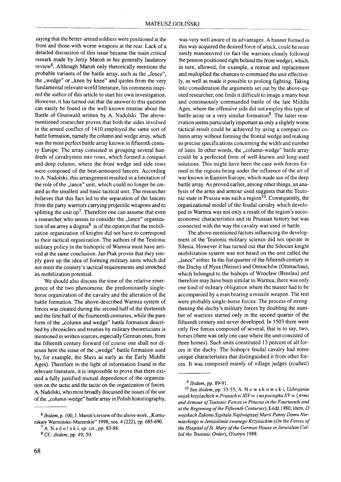saying that the better-armed soldiers were positioned at the front and those with worse weapons at the rear. Lack of a detailed discussion of this issue became the main critical remark made by Jerzy Maroń in his generally laudatory review6. Although Maroń only rhetorically mentions the probable variants of the battle array, such as the "fence", the "wedge" or "knee by knee" and quotes from the very fundamental relevant world literature, his comments inspired the author of this article to start his own investigation. However, it has turned out that the answer to this question can easily be found in the well-known treatise about the Battle of Grunwald written by A. Nadolski. The abovementioned researcher proves that both the sides involved in the armed conflict of 1410 employed the same sort of battle formation, namely the column and wedge array, which was the most perfect battle array known in fifteenth century Europe. The array consisted in grouping several hundreds of cavalrymen into rows, which formed a compact and deep column, where the front wedge and side rows were composed of the best-armoured lancers. According to A. Nadolski, this arrangement resulted in a limitation of the role of the "lance" unit, which could no longer be created as the smallest and basic tactical unit. The researcher believes that this fact led to the separation of the lancers from the party warriors carrying projectile weapons and to splitting the unit  $up^7$ . Therefore one can assume that even a researcher who seems to consider the "lance" organization of an army a dogma $8$  is of the opinion that the mobilization organization of knights did not have to correspond to their tactical organization. The authors of the Teutonic military policy in the bishopric of Warmia must have arrived at the same conclusion. Jan Ptak proves that they simply gave up the idea of forming military units which did not meet the country's tactical requirements and stretched its mobilization potential.

We should also discuss the time of the relative emergence of the two phenomena: the predominantly singlehorse organization of the cavalry and the alteration of the battle formation. The above-described Warmia system of forces was created during the second half of the thirteenth and the first half of the fourteenth centuries, while the pure form of the "column and wedge" battle formation described by chroniclers and treaties by military theoreticians is mentioned in written sources, especially German ones, from the fifteenth century forward (of course one shall not discuss here the issue of the "wedge" battle formation used by, for example, the Slavs as early as the Early Middle Ages). Therefore in the light of information found in the relevant literature, it is impossible to prove that there existed a fully justified mutual dependence of the organization on the tactic and the tactic on the organization of forces. A. Nadolski, who most broadly discussed the issues of the use of the "column-wedge" battle array in Polish historiography,

was very well aware of its advantages. A banner formed in this way acquired the desired force of attack, could be more easily manoeuvred (in fact the warriors closely followed the pennon positioned right behind the front wedge), which, in turn, allowed, for example, a retreat and replacement and multiplied the chances to command the unit effectively, as well as made it possible to prolong fighting. Taking into consideration the arguments set out by the above-quoted researcher, one finds it difficult to image a many hour and continuously commanded battle of the late Middle Ages, where the offensive side did not employ this type of battle array or a very similar formation<sup>9</sup>. The latter reservation seems particularly important as only a slightly worse tactical result could be achieved by using a compact column array without forming the frontal wedge and making so precise specifications concerning the width and number of lines. In other words, the "column-wedge" battle array could be a perfected form of well-known and long-used solutions. This might have been the case with forces formed in the regions being under the influence of the art of war known in Eastern Europe, which made use of the deep battle array. As proved earlier, among other things, an analysis of the arms and armour used suggests that the Teutonic state in Prussia was such a region<sup>10</sup>. Consequently, the organizational model of the feudal cavalry which developed in Warmia was not only a result of the region's socioeconomic characteristics and its Prussian history but was connected with the way the cavalry was used in battle.

The above-mentioned factors influencing the development of the Teutonic military science did not operate in Silesia. However it has turned out that the Silesian knight mobilization system was not based on the unit called the "lance" either. In the fist quarter of the fifteenth century in the Duchy of Nysa (Neisse) and Otmuchów (Ottmachau), which belonged to the bishops of Wrocław (Breslau) and therefore may have been similar to Warmia, there was only one kind of military obligation where the master had to be accompanied by a man bearing a missile weapon. The rest were probably single-horse forces. The process of strengthening the duchy's military forces by doubling the number of warriors started only in the second quarter of the fifteenth century and never developed. In 1503 there were only five forces composed of several, that is to say, two, horses (there was only one case where the unit consisted of three horses). Such units constituted 13 percent of all forces in the duchy. The bishop's feudal cavalry had some unique characteristics that distinguished it from other forces. It was composed mainly of village judges (*sculteti*)

<sup>&</sup>lt;sup>6</sup> *Ibidem*, p. 100; J. Maroń's review of the above work, "Komunikaty Warmińsko-Mazurskie" 1998, nos. 4 (222), pp. 685-690.

<sup>7</sup> A. N a d о 1 s к i, op. *cit.,* pp. 83-88. 8 Cf.: *ibidem,* pp. 49, 50.

<sup>9</sup> *Ibidem,* pp. 89-91.

<sup>10</sup> See *ibidem,* pp. 53-55; A. Nowakowski, *Uzbrojenie wojsk krzyżackich w Prusach w XIV w. i na początku XV w. (Arms and Armour of Teutonic Forces in Prussia in the Fourteenth and* at the Beginning of the Fifteenth Centuries), Łódź 1980; idem, O *wojskach Zakonu Szpitala Najświętszej Marii Panny Domu Niemieckiego w Jerozolimie zwanego Krzyżackim (On the Forces of* the Hospital of St. Mary of the German House in Jerusalem Cal*led the Teutonic Order),* Olsztyn 1988.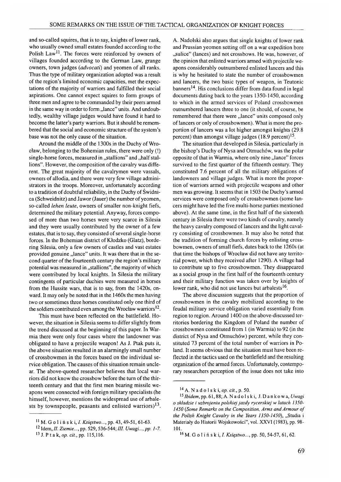and so-called squires, that is to say, knights of lower rank, who usually owned small estates founded according to the Polish Law<sup>11</sup>. The forces were reinforced by owners of villages founded according to the German Law, grange owners, town judges (*advocati*) and yeomen of all ranks. Thus the type of military organization adopted was a result of the region's limited economic capacities, met the expectations of the majority of warriors and fulfilled their social aspirations. One cannot expect squires to form groups of three men and agree to be commanded by their peers armed in the same way in order to form "lance" units. And undoubtedly, wealthy village judges would have found it hard to become the latter's party warriors. But it should be remembered that the social and economic structure of the system's base was not the only cause of the situation.

Around the middle of the 1300s in the Duchy of Wroclaw, belonging to the Bohemian rules, there were only (!) single-horse forces, measured in "stallions" and "half stallions". However, the composition of the cavalry was different. The great majority of the cavalrymen were vassals, owners of allodia, and there were very few village administrators in the troops. Moreover, unfortunately according to a tradition of doubtful reliability, in the Duchy of Świdnica (Schweidnitz) and Jawor (Jauer) the number of yeomen, so-called *lehen leute,* owners of smaller non-knight fiefs, determined the military potential. Anyway, forces composed of more than two horses were very scarce in Silesia and they were usually contributed by the owner of a few estates, that is to say, they consisted of several single-horse forces. In the Bohemian district of Kłodzko (Glatz), bordering Silesia, only a few owners of castles and vast estates provided genuine "lance" units. It was there that in the second quarter of the fourteenth century the region's military potential was measured in "stallions", the majority of which were contributed by local knights. In Silesia the military contingents of particular duchies were measured in horses from the Hussite wars, that is to say, from the 1420s, onward. It may only be noted that in the 1460s the men having two or sometimes three horses constituted only one third of the soldiers contributed even among the Wrocław warriors<sup>12</sup>.

This must have been reflected on the battlefield. However, the situation in Silesia seems to differ slightly from the trend discussed at the beginning of this paper. In Warmia there were only four cases where the landowner was obligated to have a projectile weapon! As J. Ptak puts it, the above situation resulted in an alarmingly small number of crossbowmen in the forces based on the individual service obligation. The causes of this situation remain unclear. The above-quoted researcher believes that local warriors did not know the crossbow before the turn of the thirteenth century and that the first men bearing missile weapons were connected with foreign military specialists (he himself, however, mentions the widespread use of arbalests by townspeople, peasants and enlisted warriors)<sup>13</sup>.

A. Nadolski also argues that single knights of lower rank and Prussian yeomen setting off on a war expedition bore "sulice" (lances) and not crossbows. He was, however, of the opinion that enlisted warriors armed with projectile weapons considerably outnumbered enlisted lancers and this is why he hesitated to state the number of crossbowmen and lancers, the two basic types of weapon, in Teutonic banners<sup>14</sup>. His conclusions differ from data found in legal documents dating back to the years 1350-1450, according to which in the armed services of Poland crossbowmen outnumbered lancers three to one (it should, of course, be remembered that there were "lance" units composed only of lancers or only of crossbowmen). What is more the proportion of lancers was a lot higher amongst knights (29.8 percent) than amongst village judges (18.9 percent)<sup>15</sup>.

The situation that developed in Silesia, particularly in the bishop's Duchy of Nysa and Otmuchów, was the polar opposite of that in Warmia, where only nine "lance" forces survived to the first quarter of the fifteenth century. They constituted 7.6 percent of all the military obligations of landowners and village judges. What is more the proportion of warriors armed with projectile weapons and other men was growing. It seems that in 1503 the Duchy's armed services were composed only of crossbowmen (some lancers might have led the five multi-horse parties mentioned above). At the same time, in the first half of the sixteenth century in Silesia there were two kinds of cavalry, namely the heavy cavalry composed of lancers and the light cavalry consisting of crossbowmen. It may also be noted that the tradition of forming church forces by enlisting crossbowmen, owners of small fiefs, dates back to the 1260s (at that time the bishops of Wrocław did not have any territorial power, which they received after 1290). A village had to contribute up to five crossbowmen. They disappeared as a social group in the first half of the fourteenth century and their military function was taken over by knights of lower rank, who did not use lances but arbalests<sup>16</sup>.

The above discussion suggests that the proportion of crossbowmen in the cavalry mobilized according to the feudal military service obligation varied essentially from region to region. Around 1400 on the above-discussed territories bordering the Kingdom of Poland the number of crossbowmen constituted from 1 (in Warmia) to 92 (in the district of Nysa and Otmuchów) percent, while they constituted 73 percent of the total number of warriors in Poland. It seems obvious that the situation must have been reflected in the tactics used on the battlefield and the resulting organization of the armed forces. Unfortunately, contemporary researchers perception of the issue does not take into

<sup>11</sup> M. G o 1 i ń s к i, /. *Księstwo...,* pp. 43, 49-51, 61-63.

<sup>12</sup> Idem, *II. Ziemie..*., pp. 529, 536-544; *III. Uwagi..., pp. 1-7.* 13 J. P t a k, *op. cit.,* pp. 115,116.

<sup>14</sup> A. N a d о 1 s k i, *op. cit.,* p. 50.

*<sup>15</sup>Ibidem,* pp. 61,88; A. Na d o l s k i , J. D a n k ó w a, *Uwagi o składzie i uzbrojeniu polskiej jazdy rycerskiej w latach 1350- 1450 (Some Remarks on the Composition, Arms and Armour of the Polish Knight Cavalry in the Years 1350-1450*), "Studia i Materiały do Historii Wojskowości", vol. XXVI (1983), pp. 98- 101.

<sup>16</sup> M. G о 1 i ń s k i, /. *Księstwo...,* pp. 50, 54-57, 61,62.